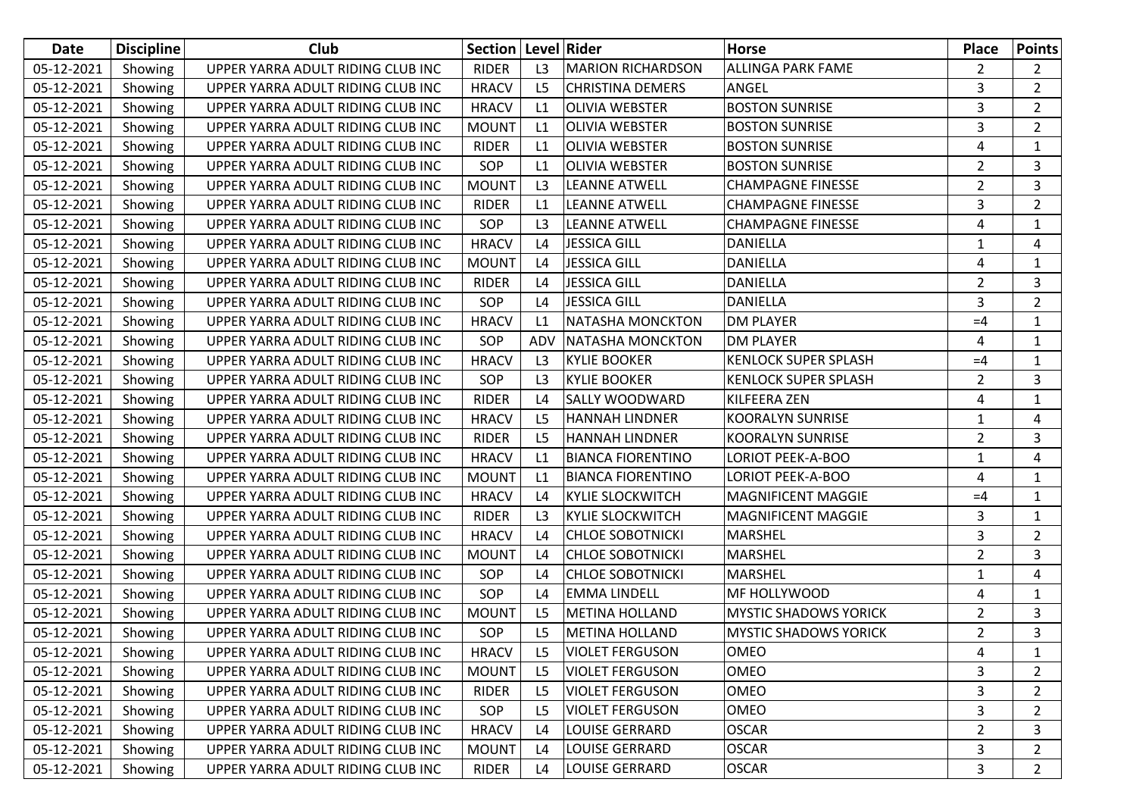| Date       | <b>Discipline</b> | Club                              | Section   Level   Rider |                |                          | <b>Horse</b>                 | <b>Place</b>   | <b>Points</b>  |
|------------|-------------------|-----------------------------------|-------------------------|----------------|--------------------------|------------------------------|----------------|----------------|
| 05-12-2021 | Showing           | UPPER YARRA ADULT RIDING CLUB INC | <b>RIDER</b>            | L3             | <b>MARION RICHARDSON</b> | <b>ALLINGA PARK FAME</b>     | 2              | $\mathbf{2}$   |
| 05-12-2021 | Showing           | UPPER YARRA ADULT RIDING CLUB INC | <b>HRACV</b>            | L <sub>5</sub> | <b>CHRISTINA DEMERS</b>  | ANGEL                        | 3              | $\overline{2}$ |
| 05-12-2021 | Showing           | UPPER YARRA ADULT RIDING CLUB INC | <b>HRACV</b>            | L1             | <b>OLIVIA WEBSTER</b>    | <b>BOSTON SUNRISE</b>        | 3              | $2^{\circ}$    |
| 05-12-2021 | Showing           | UPPER YARRA ADULT RIDING CLUB INC | <b>MOUNT</b>            | L1             | <b>OLIVIA WEBSTER</b>    | <b>BOSTON SUNRISE</b>        | 3              | $\overline{2}$ |
| 05-12-2021 | Showing           | UPPER YARRA ADULT RIDING CLUB INC | <b>RIDER</b>            | L1             | <b>OLIVIA WEBSTER</b>    | <b>BOSTON SUNRISE</b>        | $\overline{4}$ | $\mathbf{1}$   |
| 05-12-2021 | Showing           | UPPER YARRA ADULT RIDING CLUB INC | SOP                     | L1             | <b>OLIVIA WEBSTER</b>    | <b>BOSTON SUNRISE</b>        | $\overline{2}$ | 3              |
| 05-12-2021 | Showing           | UPPER YARRA ADULT RIDING CLUB INC | <b>MOUNT</b>            | L <sub>3</sub> | <b>LEANNE ATWELL</b>     | <b>CHAMPAGNE FINESSE</b>     | $\overline{2}$ | 3              |
| 05-12-2021 | Showing           | UPPER YARRA ADULT RIDING CLUB INC | <b>RIDER</b>            | L1             | <b>LEANNE ATWELL</b>     | <b>CHAMPAGNE FINESSE</b>     | 3              | $\overline{2}$ |
| 05-12-2021 | Showing           | UPPER YARRA ADULT RIDING CLUB INC | SOP                     | L <sub>3</sub> | <b>LEANNE ATWELL</b>     | <b>CHAMPAGNE FINESSE</b>     | 4              | 1              |
| 05-12-2021 | Showing           | UPPER YARRA ADULT RIDING CLUB INC | <b>HRACV</b>            | L4             | <b>JESSICA GILL</b>      | <b>DANIELLA</b>              | $\mathbf{1}$   | 4              |
| 05-12-2021 | Showing           | UPPER YARRA ADULT RIDING CLUB INC | <b>MOUNT</b>            | L4             | <b>JESSICA GILL</b>      | DANIELLA                     | 4              | 1              |
| 05-12-2021 | Showing           | UPPER YARRA ADULT RIDING CLUB INC | <b>RIDER</b>            | L4             | <b>JESSICA GILL</b>      | DANIELLA                     | $\overline{2}$ | 3              |
| 05-12-2021 | Showing           | UPPER YARRA ADULT RIDING CLUB INC | SOP                     | L4             | <b>JESSICA GILL</b>      | <b>DANIELLA</b>              | 3              | $\overline{2}$ |
| 05-12-2021 | Showing           | UPPER YARRA ADULT RIDING CLUB INC | <b>HRACV</b>            | L1             | <b>NATASHA MONCKTON</b>  | <b>DM PLAYER</b>             | $=4$           | 1              |
| 05-12-2021 | Showing           | UPPER YARRA ADULT RIDING CLUB INC | SOP                     | ADV            | <b>NATASHA MONCKTON</b>  | <b>DM PLAYER</b>             | 4              | $\mathbf{1}$   |
| 05-12-2021 | Showing           | UPPER YARRA ADULT RIDING CLUB INC | <b>HRACV</b>            | L <sub>3</sub> | <b>KYLIE BOOKER</b>      | KENLOCK SUPER SPLASH         | $=4$           | 1              |
| 05-12-2021 | Showing           | UPPER YARRA ADULT RIDING CLUB INC | SOP                     | L <sub>3</sub> | <b>KYLIE BOOKER</b>      | <b>KENLOCK SUPER SPLASH</b>  | $\overline{2}$ | 3              |
| 05-12-2021 | Showing           | UPPER YARRA ADULT RIDING CLUB INC | <b>RIDER</b>            | L4             | <b>SALLY WOODWARD</b>    | <b>KILFEERA ZEN</b>          | 4              | $\mathbf{1}$   |
| 05-12-2021 | Showing           | UPPER YARRA ADULT RIDING CLUB INC | <b>HRACV</b>            | L5             | <b>HANNAH LINDNER</b>    | <b>KOORALYN SUNRISE</b>      | 1              | 4              |
| 05-12-2021 | Showing           | UPPER YARRA ADULT RIDING CLUB INC | <b>RIDER</b>            | L <sub>5</sub> | <b>HANNAH LINDNER</b>    | <b>KOORALYN SUNRISE</b>      | $\overline{2}$ | 3              |
| 05-12-2021 | Showing           | UPPER YARRA ADULT RIDING CLUB INC | <b>HRACV</b>            | L1             | <b>BIANCA FIORENTINO</b> | LORIOT PEEK-A-BOO            | $\mathbf 1$    | 4              |
| 05-12-2021 | Showing           | UPPER YARRA ADULT RIDING CLUB INC | <b>MOUNT</b>            | L1             | <b>BIANCA FIORENTINO</b> | LORIOT PEEK-A-BOO            | 4              | $\mathbf{1}$   |
| 05-12-2021 | Showing           | UPPER YARRA ADULT RIDING CLUB INC | <b>HRACV</b>            | L4             | <b>KYLIE SLOCKWITCH</b>  | <b>MAGNIFICENT MAGGIE</b>    | $=4$           | $\mathbf{1}$   |
| 05-12-2021 | Showing           | UPPER YARRA ADULT RIDING CLUB INC | <b>RIDER</b>            | L <sub>3</sub> | <b>KYLIE SLOCKWITCH</b>  | MAGNIFICENT MAGGIE           | 3              | 1              |
| 05-12-2021 | Showing           | UPPER YARRA ADULT RIDING CLUB INC | <b>HRACV</b>            | L4             | <b>CHLOE SOBOTNICKI</b>  | MARSHEL                      | 3              | $\overline{2}$ |
| 05-12-2021 | Showing           | UPPER YARRA ADULT RIDING CLUB INC | <b>MOUNT</b>            | L4             | <b>CHLOE SOBOTNICKI</b>  | MARSHEL                      | $\overline{2}$ | 3              |
| 05-12-2021 | Showing           | UPPER YARRA ADULT RIDING CLUB INC | SOP                     | L4             | <b>CHLOE SOBOTNICKI</b>  | <b>MARSHEL</b>               | 1              | 4              |
| 05-12-2021 | Showing           | UPPER YARRA ADULT RIDING CLUB INC | SOP                     | L4             | <b>EMMA LINDELL</b>      | MF HOLLYWOOD                 | 4              | $\mathbf{1}$   |
| 05-12-2021 | Showing           | UPPER YARRA ADULT RIDING CLUB INC | <b>MOUNT</b>            | L5             | <b>METINA HOLLAND</b>    | <b>MYSTIC SHADOWS YORICK</b> | $\overline{2}$ | 3              |
| 05-12-2021 | Showing           | UPPER YARRA ADULT RIDING CLUB INC | SOP                     | L <sub>5</sub> | <b>METINA HOLLAND</b>    | <b>MYSTIC SHADOWS YORICK</b> | $\overline{2}$ | 3              |
| 05-12-2021 | Showing           | UPPER YARRA ADULT RIDING CLUB INC | <b>HRACV</b>            | L <sub>5</sub> | <b>VIOLET FERGUSON</b>   | OMEO                         | 4              | $\mathbf{1}$   |
| 05-12-2021 | Showing           | UPPER YARRA ADULT RIDING CLUB INC | <b>MOUNT</b>            | L <sub>5</sub> | <b>VIOLET FERGUSON</b>   | OMEO                         | 3              | $\overline{2}$ |
| 05-12-2021 | Showing           | UPPER YARRA ADULT RIDING CLUB INC | <b>RIDER</b>            | L5             | <b>VIOLET FERGUSON</b>   | <b>OMEO</b>                  | 3              | $\overline{2}$ |
| 05-12-2021 | Showing           | UPPER YARRA ADULT RIDING CLUB INC | SOP                     | L5             | <b>VIOLET FERGUSON</b>   | OMEO                         | 3              | $\overline{a}$ |
| 05-12-2021 | Showing           | UPPER YARRA ADULT RIDING CLUB INC | <b>HRACV</b>            | L4             | <b>LOUISE GERRARD</b>    | <b>OSCAR</b>                 | $\overline{2}$ | 3              |
| 05-12-2021 | Showing           | UPPER YARRA ADULT RIDING CLUB INC | <b>MOUNT</b>            | L4             | <b>LOUISE GERRARD</b>    | <b>OSCAR</b>                 | 3              | 2              |
| 05-12-2021 | Showing           | UPPER YARRA ADULT RIDING CLUB INC | RIDER                   | L4             | <b>LOUISE GERRARD</b>    | <b>OSCAR</b>                 | 3              | $2^{\circ}$    |